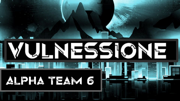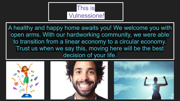

A healthy and happy home awaits you! We welcome you with open arms. With our hardworking community, we were able to transition from a linear economy to a circular economy. Trust us when we say this, moving here will be the best decision of your life.

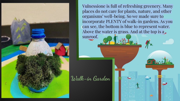Vulnessione is full of refreshing greenery. Many places do not care for plants, nature, and other organisms' well-being. So we made sure to incorporate PLENTY of walk-in gardens. As you can see, the bottom is blue to represent water. Above the water is grass. And at the top is a sunroof.

**Walk-in Garden**

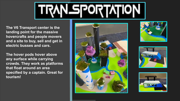

**The V6 Transport center is the landing point for the massive hovercrafts and people movers and a site to buy, sell and get in electric busses and cars.** 

**The hover pods hover above any surface while carrying crowds. They work as platforms that float around an area specified by a captain. Great for tourism!**







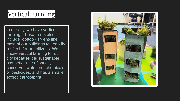## Vertical Farming

In our city, we have vertical farming. These farms also include rooftop gardens like most of our buildings to keep the air fresh for our citizens. We chose vertical farming for our city because it is sustainable, has better use of space, conserves water, not chemicals or pesticides, and has a smaller ecological footprint.

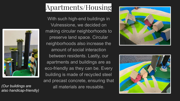

*also handicap-friendly)*

# Apartments/Housing

With such high-end buildings in Vulnessione, we decided on making circular neighborhoods to preserve land space. Circular neighborhoods also increase the amount of social interaction between residents. Lastly, our apartments and buildings are as eco-friendly as they can be. Every building is made of recycled steel and precast concrete, ensuring that all materials are reusable. *(Our buildings are* 



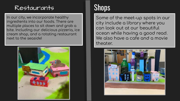#### Restaurants

In our city, we incorporate healthy ingredients into our foods. There are multiple places to sit down and grab a bite. Including our delicious pizzeria, ice cream shop, and a rotating restaurant next to the seaside!



# **Shops**

Some of the meet-up spots in our city include a library where you can look out at our beautiful ocean while having a good read. We also have a cafe and a movie theoter.

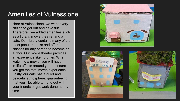#### Amenities of Vulnessione

Here at Vulnessione, we want every citizen to get out and have fun. Therefore, we added amenities such as a library, movie theatre, and a cafe. Our library contains many of the most popular books and offers classes for any person to become an author. Our movie theater provides an experience like no other. When watching a movie, you will have in-life effects around you to ensure you get the total movie experience. Lastly, our cafe has a quiet and peaceful atmosphere, guaranteeing that you'll be able to hang out with your friends or get work done at any time.





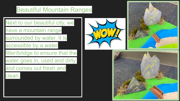### Beautiful Mountain Ranges

Next to our beautiful city, we

have a mountain range

surrounded by water. It is

accessible by a water

filter/bridge to ensure that the

water goes in, used and dirty,

and comes out fresh and

**clean** 





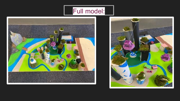